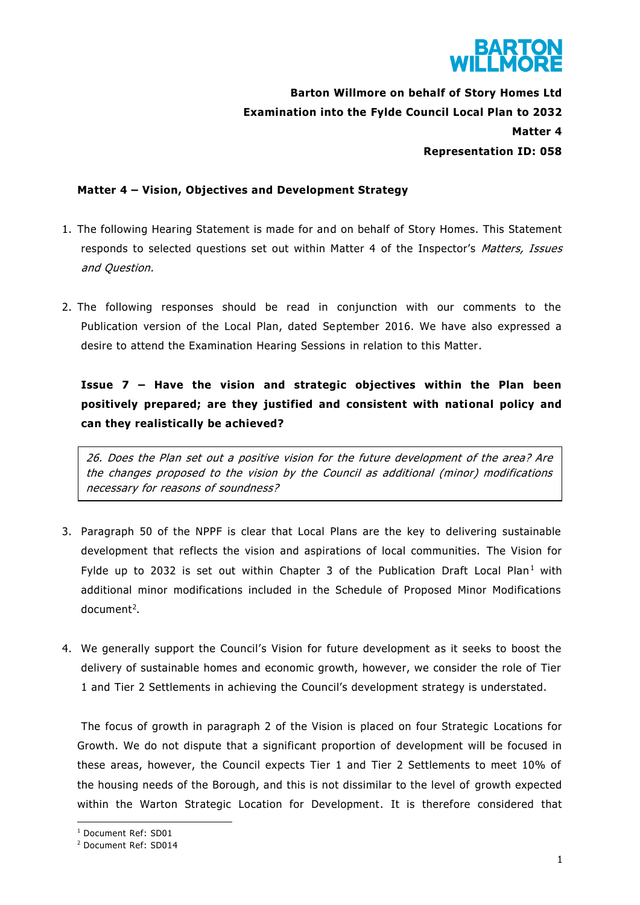

**Barton Willmore on behalf of Story Homes Ltd Examination into the Fylde Council Local Plan to 2032 Matter 4 Representation ID: 058**

# **Matter 4 – Vision, Objectives and Development Strategy**

- 1. The following Hearing Statement is made for and on behalf of Story Homes. This Statement responds to selected questions set out within Matter 4 of the Inspector's Matters, Issues and Question.
- 2. The following responses should be read in conjunction with our comments to the Publication version of the Local Plan, dated September 2016. We have also expressed a desire to attend the Examination Hearing Sessions in relation to this Matter.

**Issue 7 – Have the vision and strategic objectives within the Plan been positively prepared; are they justified and consistent with national policy and can they realistically be achieved?**

26. Does the Plan set out a positive vision for the future development of the area? Are the changes proposed to the vision by the Council as additional (minor) modifications necessary for reasons of soundness?

- 3. Paragraph 50 of the NPPF is clear that Local Plans are the key to delivering sustainable development that reflects the vision and aspirations of local communities. The Vision for Fylde up to 2032 is set out within Chapter 3 of the Publication Draft Local Plan<sup>1</sup> with additional minor modifications included in the Schedule of Proposed Minor Modifications document<sup>2</sup>.
- 4. We generally support the Council's Vision for future development as it seeks to boost the delivery of sustainable homes and economic growth, however, we consider the role of Tier 1 and Tier 2 Settlements in achieving the Council's development strategy is understated.

The focus of growth in paragraph 2 of the Vision is placed on four Strategic Locations for Growth. We do not dispute that a significant proportion of development will be focused in these areas, however, the Council expects Tier 1 and Tier 2 Settlements to meet 10% of the housing needs of the Borough, and this is not dissimilar to the level of growth expected within the Warton Strategic Location for Development. It is therefore considered that

**.** 

<sup>1</sup> Document Ref: SD01

<sup>2</sup> Document Ref: SD014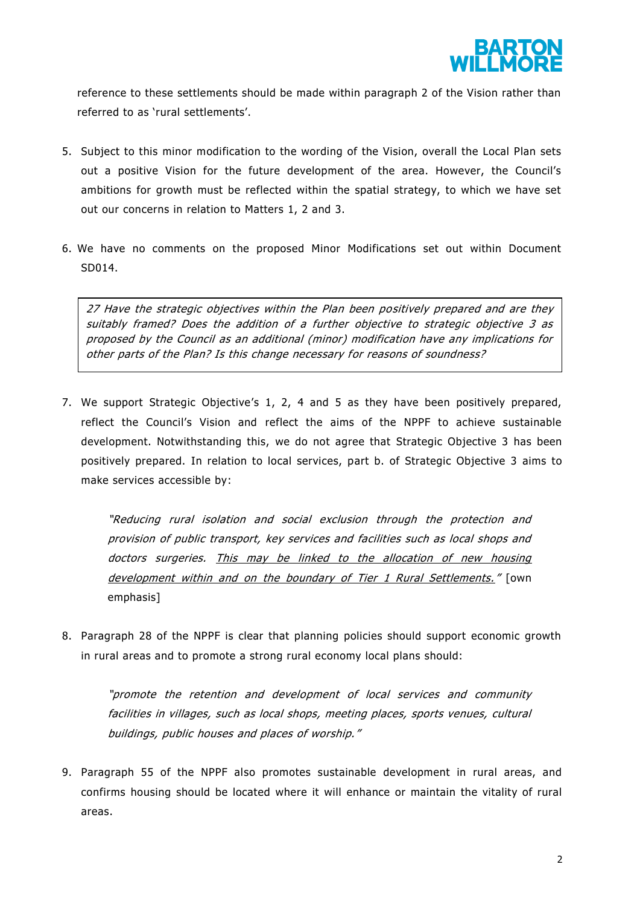

reference to these settlements should be made within paragraph 2 of the Vision rather than referred to as 'rural settlements'.

- 5. Subject to this minor modification to the wording of the Vision, overall the Local Plan sets out a positive Vision for the future development of the area. However, the Council's ambitions for growth must be reflected within the spatial strategy, to which we have set out our concerns in relation to Matters 1, 2 and 3.
- 6. We have no comments on the proposed Minor Modifications set out within Document SD014.

27 Have the strategic objectives within the Plan been positively prepared and are they suitably framed? Does the addition of a further objective to strategic objective 3 as proposed by the Council as an additional (minor) modification have any implications for other parts of the Plan? Is this change necessary for reasons of soundness?

7. We support Strategic Objective's 1, 2, 4 and 5 as they have been positively prepared, reflect the Council's Vision and reflect the aims of the NPPF to achieve sustainable development. Notwithstanding this, we do not agree that Strategic Objective 3 has been positively prepared. In relation to local services, part b. of Strategic Objective 3 aims to make services accessible by:

"Reducing rural isolation and social exclusion through the protection and provision of public transport, key services and facilities such as local shops and doctors surgeries. This may be linked to the allocation of new housing development within and on the boundary of Tier 1 Rural Settlements." [own emphasis]

8. Paragraph 28 of the NPPF is clear that planning policies should support economic growth in rural areas and to promote a strong rural economy local plans should:

"promote the retention and development of local services and community facilities in villages, such as local shops, meeting places, sports venues, cultural buildings, public houses and places of worship."

9. Paragraph 55 of the NPPF also promotes sustainable development in rural areas, and confirms housing should be located where it will enhance or maintain the vitality of rural areas.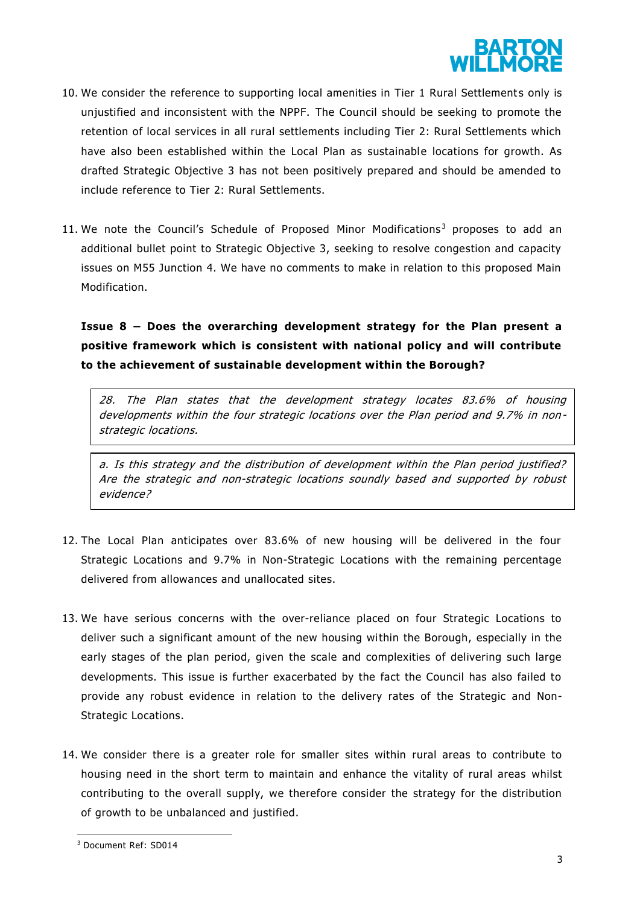

- 10. We consider the reference to supporting local amenities in Tier 1 Rural Settlements only is unjustified and inconsistent with the NPPF. The Council should be seeking to promote the retention of local services in all rural settlements including Tier 2: Rural Settlements which have also been established within the Local Plan as sustainable locations for growth. As drafted Strategic Objective 3 has not been positively prepared and should be amended to include reference to Tier 2: Rural Settlements.
- 11. We note the Council's Schedule of Proposed Minor Modifications<sup>3</sup> proposes to add an additional bullet point to Strategic Objective 3, seeking to resolve congestion and capacity issues on M55 Junction 4. We have no comments to make in relation to this proposed Main Modification.

**Issue 8 – Does the overarching development strategy for the Plan present a positive framework which is consistent with national policy and will contribute to the achievement of sustainable development within the Borough?**

28. The Plan states that the development strategy locates 83.6% of housing developments within the four strategic locations over the Plan period and 9.7% in non strategic locations.

a. Is this strategy and the distribution of development within the Plan period justified? Are the strategic and non-strategic locations soundly based and supported by robust evidence?

- 12. The Local Plan anticipates over 83.6% of new housing will be delivered in the four Strategic Locations and 9.7% in Non-Strategic Locations with the remaining percentage delivered from allowances and unallocated sites.
- 13. We have serious concerns with the over-reliance placed on four Strategic Locations to deliver such a significant amount of the new housing within the Borough, especially in the early stages of the plan period, given the scale and complexities of delivering such large developments. This issue is further exacerbated by the fact the Council has also failed to provide any robust evidence in relation to the delivery rates of the Strategic and Non-Strategic Locations.
- 14. We consider there is a greater role for smaller sites within rural areas to contribute to housing need in the short term to maintain and enhance the vitality of rural areas whilst contributing to the overall supply, we therefore consider the strategy for the distribution of growth to be unbalanced and justified.

 $\overline{\phantom{a}}$ 

<sup>3</sup> Document Ref: SD014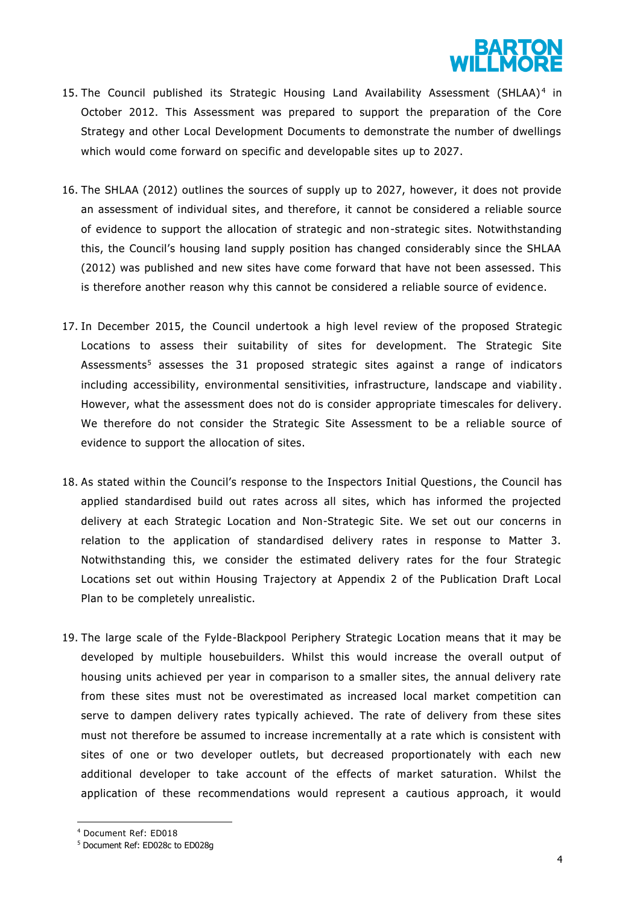

- 15. The Council published its Strategic Housing Land Availability Assessment (SHLAA)<sup>4</sup> in October 2012. This Assessment was prepared to support the preparation of the Core Strategy and other Local Development Documents to demonstrate the number of dwellings which would come forward on specific and developable sites up to 2027.
- 16. The SHLAA (2012) outlines the sources of supply up to 2027, however, it does not provide an assessment of individual sites, and therefore, it cannot be considered a reliable source of evidence to support the allocation of strategic and non-strategic sites. Notwithstanding this, the Council's housing land supply position has changed considerably since the SHLAA (2012) was published and new sites have come forward that have not been assessed. This is therefore another reason why this cannot be considered a reliable source of evidence.
- 17. In December 2015, the Council undertook a high level review of the proposed Strategic Locations to assess their suitability of sites for development. The Strategic Site Assessments<sup>5</sup> assesses the 31 proposed strategic sites against a range of indicators including accessibility, environmental sensitivities, infrastructure, landscape and viability . However, what the assessment does not do is consider appropriate timescales for delivery. We therefore do not consider the Strategic Site Assessment to be a reliable source of evidence to support the allocation of sites.
- 18. As stated within the Council's response to the Inspectors Initial Questions , the Council has applied standardised build out rates across all sites, which has informed the projected delivery at each Strategic Location and Non-Strategic Site. We set out our concerns in relation to the application of standardised delivery rates in response to Matter 3. Notwithstanding this, we consider the estimated delivery rates for the four Strategic Locations set out within Housing Trajectory at Appendix 2 of the Publication Draft Local Plan to be completely unrealistic.
- 19. The large scale of the Fylde-Blackpool Periphery Strategic Location means that it may be developed by multiple housebuilders. Whilst this would increase the overall output of housing units achieved per year in comparison to a smaller sites, the annual delivery rate from these sites must not be overestimated as increased local market competition can serve to dampen delivery rates typically achieved. The rate of delivery from these sites must not therefore be assumed to increase incrementally at a rate which is consistent with sites of one or two developer outlets, but decreased proportionately with each new additional developer to take account of the effects of market saturation. Whilst the application of these recommendations would represent a cautious approach, it would

**.** 

<sup>4</sup> Document Ref: ED018

<sup>5</sup> Document Ref: ED028c to ED028g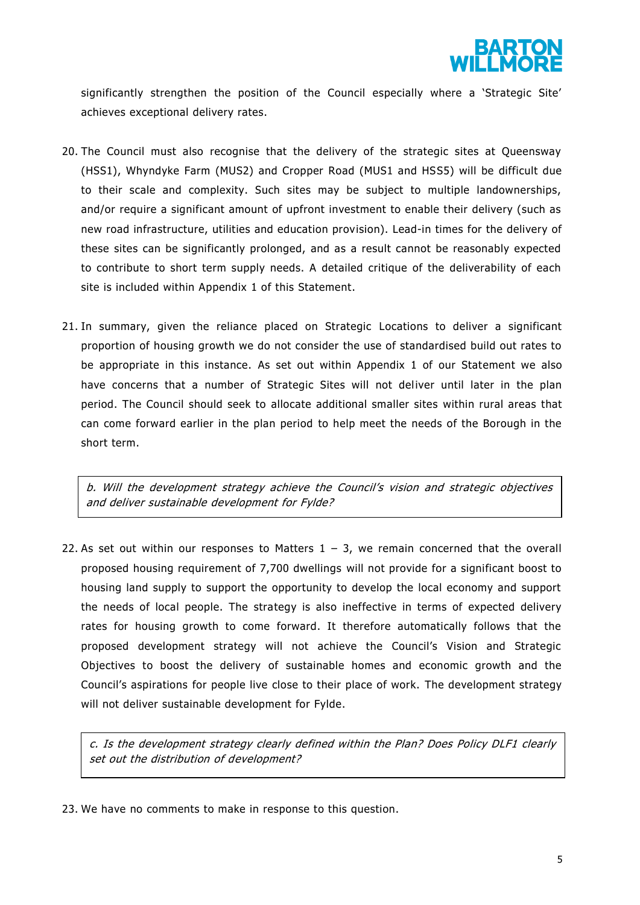

significantly strengthen the position of the Council especially where a 'Strategic Site' achieves exceptional delivery rates.

- 20. The Council must also recognise that the delivery of the strategic sites at Queensway (HSS1), Whyndyke Farm (MUS2) and Cropper Road (MUS1 and HSS5) will be difficult due to their scale and complexity. Such sites may be subject to multiple landownerships, and/or require a significant amount of upfront investment to enable their delivery (such as new road infrastructure, utilities and education provision). Lead-in times for the delivery of these sites can be significantly prolonged, and as a result cannot be reasonably expected to contribute to short term supply needs. A detailed critique of the deliverability of each site is included within Appendix 1 of this Statement.
- 21. In summary, given the reliance placed on Strategic Locations to deliver a significant proportion of housing growth we do not consider the use of standardised build out rates to be appropriate in this instance. As set out within Appendix 1 of our Statement we also have concerns that a number of Strategic Sites will not deliver until later in the plan period. The Council should seek to allocate additional smaller sites within rural areas that can come forward earlier in the plan period to help meet the needs of the Borough in the short term.

b. Will the development strategy achieve the Council's vision and strategic objectives and deliver sustainable development for Fylde?

22. As set out within our responses to Matters  $1 - 3$ , we remain concerned that the overall proposed housing requirement of 7,700 dwellings will not provide for a significant boost to housing land supply to support the opportunity to develop the local economy and support the needs of local people. The strategy is also ineffective in terms of expected delivery rates for housing growth to come forward. It therefore automatically follows that the proposed development strategy will not achieve the Council's Vision and Strategic Objectives to boost the delivery of sustainable homes and economic growth and the Council's aspirations for people live close to their place of work. The development strategy will not deliver sustainable development for Fylde.

c. Is the development strategy clearly defined within the Plan? Does Policy DLF1 clearly set out the distribution of development?

23. We have no comments to make in response to this question.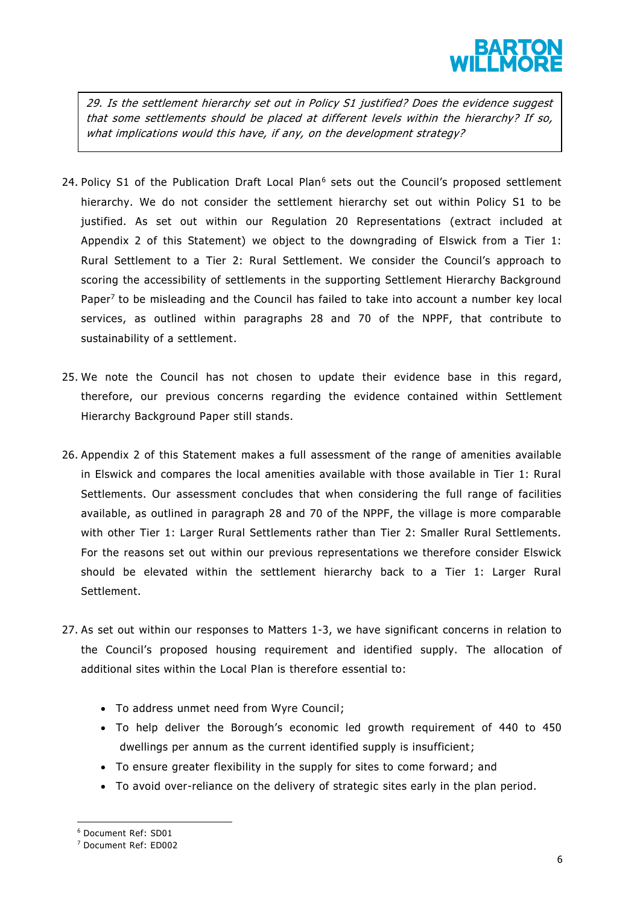

29. Is the settlement hierarchy set out in Policy S1 justified? Does the evidence suggest that some settlements should be placed at different levels within the hierarchy? If so, what implications would this have, if any, on the development strategy?

- 24. Policy S1 of the Publication Draft Local Plan<sup>6</sup> sets out the Council's proposed settlement hierarchy. We do not consider the settlement hierarchy set out within Policy S1 to be justified. As set out within our Regulation 20 Representations (extract included at Appendix 2 of this Statement) we object to the downgrading of Elswick from a Tier 1: Rural Settlement to a Tier 2: Rural Settlement. We consider the Council's approach to scoring the accessibility of settlements in the supporting Settlement Hierarchy Background Paper<sup>7</sup> to be misleading and the Council has failed to take into account a number key local services, as outlined within paragraphs 28 and 70 of the NPPF, that contribute to sustainability of a settlement.
- 25. We note the Council has not chosen to update their evidence base in this regard, therefore, our previous concerns regarding the evidence contained within Settlement Hierarchy Background Paper still stands.
- 26. Appendix 2 of this Statement makes a full assessment of the range of amenities available in Elswick and compares the local amenities available with those available in Tier 1: Rural Settlements. Our assessment concludes that when considering the full range of facilities available, as outlined in paragraph 28 and 70 of the NPPF, the village is more comparable with other Tier 1: Larger Rural Settlements rather than Tier 2: Smaller Rural Settlements. For the reasons set out within our previous representations we therefore consider Elswick should be elevated within the settlement hierarchy back to a Tier 1: Larger Rural Settlement.
- 27. As set out within our responses to Matters 1-3, we have significant concerns in relation to the Council's proposed housing requirement and identified supply. The allocation of additional sites within the Local Plan is therefore essential to:
	- To address unmet need from Wyre Council;
	- To help deliver the Borough's economic led growth requirement of 440 to 450 dwellings per annum as the current identified supply is insufficient;
	- To ensure greater flexibility in the supply for sites to come forward; and
	- To avoid over-reliance on the delivery of strategic sites early in the plan period.

**.** 

<sup>6</sup> Document Ref: SD01

<sup>7</sup> Document Ref: ED002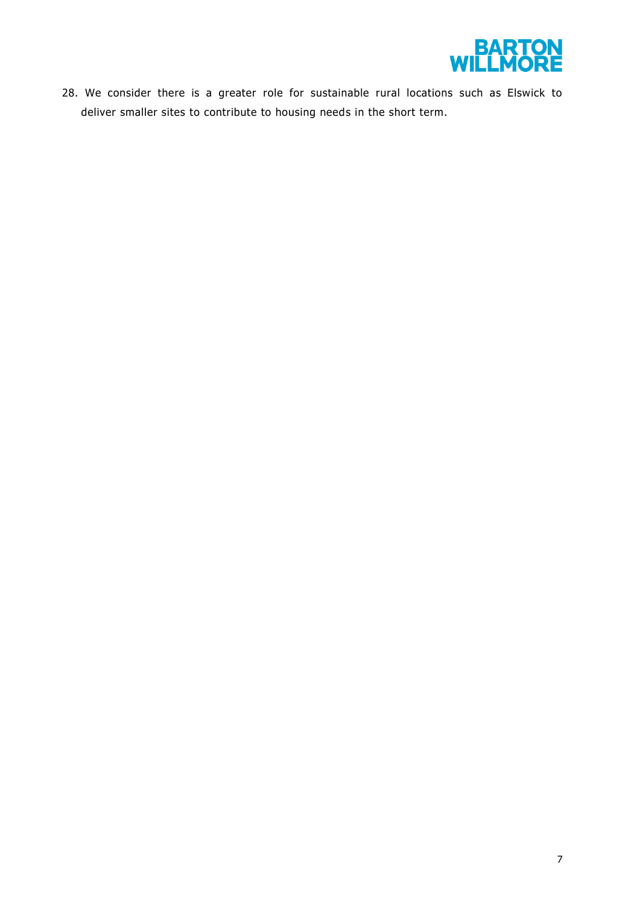

28. We consider there is a greater role for sustainable rural locations such as Elswick to deliver smaller sites to contribute to housing needs in the short term.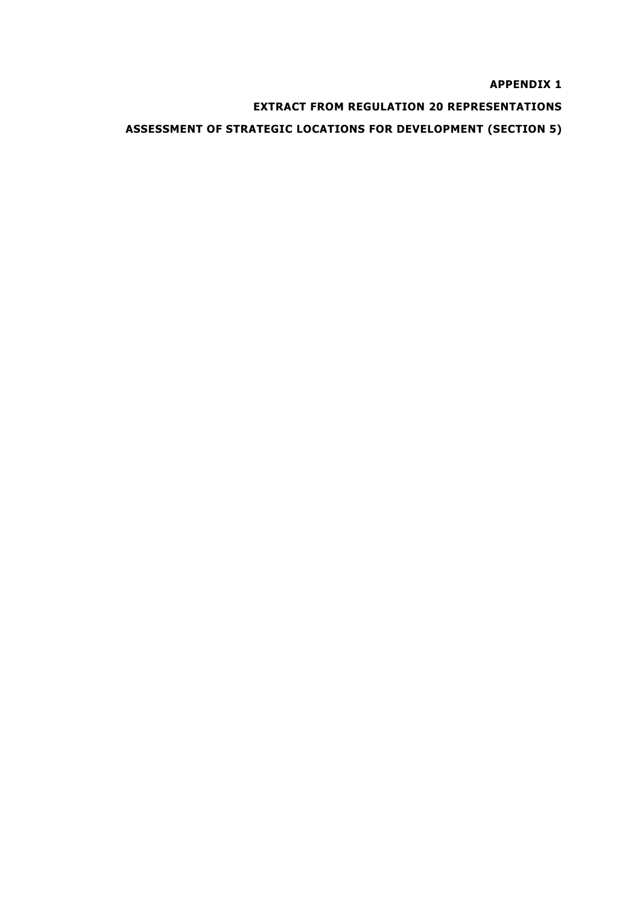**APPENDIX 1**

**EXTRACT FROM REGULATION 20 REPRESENTATIONS** 

**ASSESSMENT OF STRATEGIC LOCATIONS FOR DEVELOPMENT (SECTION 5)**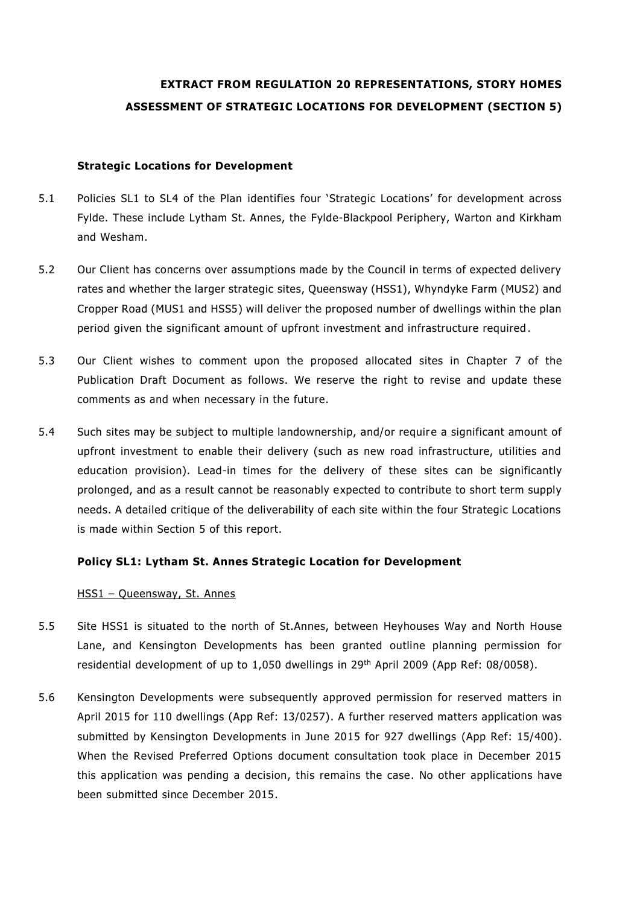# **EXTRACT FROM REGULATION 20 REPRESENTATIONS, STORY HOMES ASSESSMENT OF STRATEGIC LOCATIONS FOR DEVELOPMENT (SECTION 5)**

#### **Strategic Locations for Development**

- 5.1 Policies SL1 to SL4 of the Plan identifies four 'Strategic Locations' for development across Fylde. These include Lytham St. Annes, the Fylde-Blackpool Periphery, Warton and Kirkham and Wesham.
- 5.2 Our Client has concerns over assumptions made by the Council in terms of expected delivery rates and whether the larger strategic sites, Queensway (HSS1), Whyndyke Farm (MUS2) and Cropper Road (MUS1 and HSS5) will deliver the proposed number of dwellings within the plan period given the significant amount of upfront investment and infrastructure required .
- 5.3 Our Client wishes to comment upon the proposed allocated sites in Chapter 7 of the Publication Draft Document as follows. We reserve the right to revise and update these comments as and when necessary in the future.
- 5.4 Such sites may be subject to multiple landownership, and/or require a significant amount of upfront investment to enable their delivery (such as new road infrastructure, utilities and education provision). Lead-in times for the delivery of these sites can be significantly prolonged, and as a result cannot be reasonably expected to contribute to short term supply needs. A detailed critique of the deliverability of each site within the four Strategic Locations is made within Section 5 of this report.

# **Policy SL1: Lytham St. Annes Strategic Location for Development**

#### HSS1 – Queensway, St. Annes

- 5.5 Site HSS1 is situated to the north of St.Annes, between Heyhouses Way and North House Lane, and Kensington Developments has been granted outline planning permission for residential development of up to 1,050 dwellings in 29<sup>th</sup> April 2009 (App Ref: 08/0058).
- 5.6 Kensington Developments were subsequently approved permission for reserved matters in April 2015 for 110 dwellings (App Ref: 13/0257). A further reserved matters application was submitted by Kensington Developments in June 2015 for 927 dwellings (App Ref: 15/400). When the Revised Preferred Options document consultation took place in December 2015 this application was pending a decision, this remains the case. No other applications have been submitted since December 2015.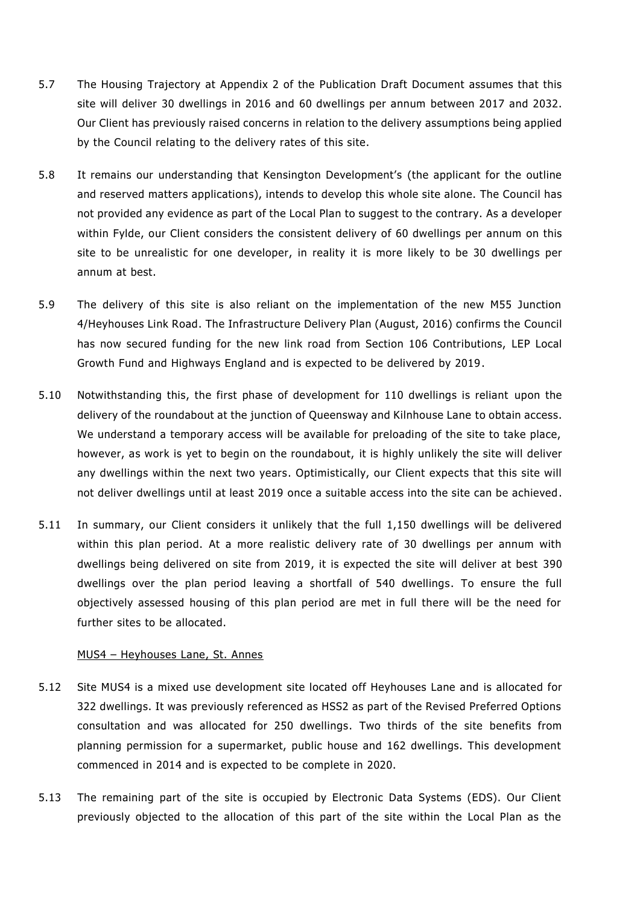- 5.7 The Housing Trajectory at Appendix 2 of the Publication Draft Document assumes that this site will deliver 30 dwellings in 2016 and 60 dwellings per annum between 2017 and 2032. Our Client has previously raised concerns in relation to the delivery assumptions being applied by the Council relating to the delivery rates of this site.
- 5.8 It remains our understanding that Kensington Development's (the applicant for the outline and reserved matters applications), intends to develop this whole site alone. The Council has not provided any evidence as part of the Local Plan to suggest to the contrary. As a developer within Fylde, our Client considers the consistent delivery of 60 dwellings per annum on this site to be unrealistic for one developer, in reality it is more likely to be 30 dwellings per annum at best.
- 5.9 The delivery of this site is also reliant on the implementation of the new M55 Junction 4/Heyhouses Link Road. The Infrastructure Delivery Plan (August, 2016) confirms the Council has now secured funding for the new link road from Section 106 Contributions, LEP Local Growth Fund and Highways England and is expected to be delivered by 2019 .
- 5.10 Notwithstanding this, the first phase of development for 110 dwellings is reliant upon the delivery of the roundabout at the junction of Queensway and Kilnhouse Lane to obtain access. We understand a temporary access will be available for preloading of the site to take place, however, as work is yet to begin on the roundabout, it is highly unlikely the site will deliver any dwellings within the next two years. Optimistically, our Client expects that this site will not deliver dwellings until at least 2019 once a suitable access into the site can be achieved.
- 5.11 In summary, our Client considers it unlikely that the full 1,150 dwellings will be delivered within this plan period. At a more realistic delivery rate of 30 dwellings per annum with dwellings being delivered on site from 2019, it is expected the site will deliver at best 390 dwellings over the plan period leaving a shortfall of 540 dwellings. To ensure the full objectively assessed housing of this plan period are met in full there will be the need for further sites to be allocated.

#### MUS4 – Heyhouses Lane, St. Annes

- 5.12 Site MUS4 is a mixed use development site located off Heyhouses Lane and is allocated for 322 dwellings. It was previously referenced as HSS2 as part of the Revised Preferred Options consultation and was allocated for 250 dwellings. Two thirds of the site benefits from planning permission for a supermarket, public house and 162 dwellings. This development commenced in 2014 and is expected to be complete in 2020.
- 5.13 The remaining part of the site is occupied by Electronic Data Systems (EDS). Our Client previously objected to the allocation of this part of the site within the Local Plan as the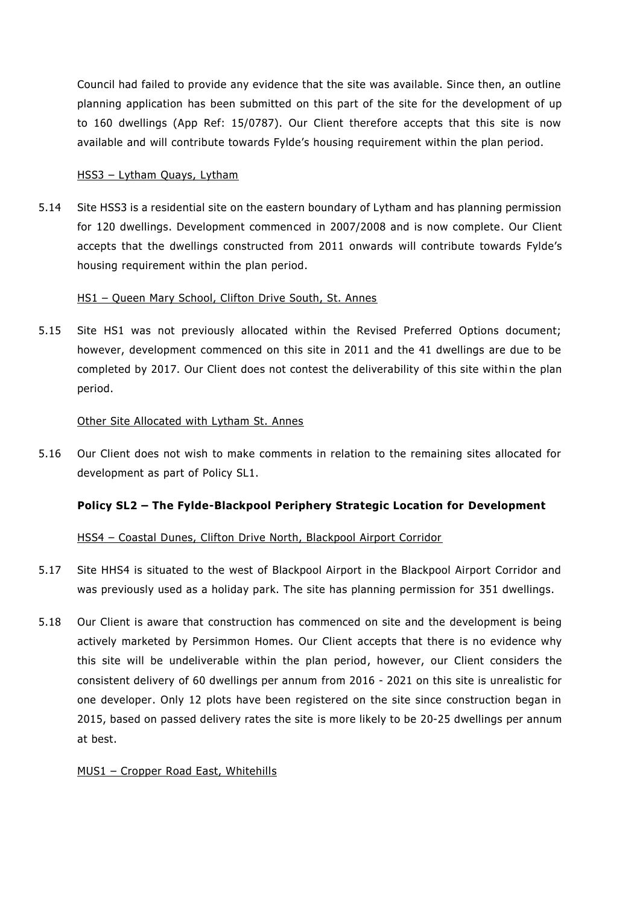Council had failed to provide any evidence that the site was available. Since then, an outline planning application has been submitted on this part of the site for the development of up to 160 dwellings (App Ref: 15/0787). Our Client therefore accepts that this site is now available and will contribute towards Fylde's housing requirement within the plan period.

# HSS3 – Lytham Quays, Lytham

5.14 Site HSS3 is a residential site on the eastern boundary of Lytham and has planning permission for 120 dwellings. Development commenced in 2007/2008 and is now complete. Our Client accepts that the dwellings constructed from 2011 onwards will contribute towards Fylde's housing requirement within the plan period.

#### HS1 – Queen Mary School, Clifton Drive South, St. Annes

5.15 Site HS1 was not previously allocated within the Revised Preferred Options document; however, development commenced on this site in 2011 and the 41 dwellings are due to be completed by 2017. Our Client does not contest the deliverability of this site within the plan period.

#### Other Site Allocated with Lytham St. Annes

5.16 Our Client does not wish to make comments in relation to the remaining sites allocated for development as part of Policy SL1.

# **Policy SL2 – The Fylde-Blackpool Periphery Strategic Location for Development**

# HSS4 – Coastal Dunes, Clifton Drive North, Blackpool Airport Corridor

- 5.17 Site HHS4 is situated to the west of Blackpool Airport in the Blackpool Airport Corridor and was previously used as a holiday park. The site has planning permission for 351 dwellings.
- 5.18 Our Client is aware that construction has commenced on site and the development is being actively marketed by Persimmon Homes. Our Client accepts that there is no evidence why this site will be undeliverable within the plan period, however, our Client considers the consistent delivery of 60 dwellings per annum from 2016 - 2021 on this site is unrealistic for one developer. Only 12 plots have been registered on the site since construction began in 2015, based on passed delivery rates the site is more likely to be 20-25 dwellings per annum at best.

#### MUS1 – Cropper Road East, Whitehills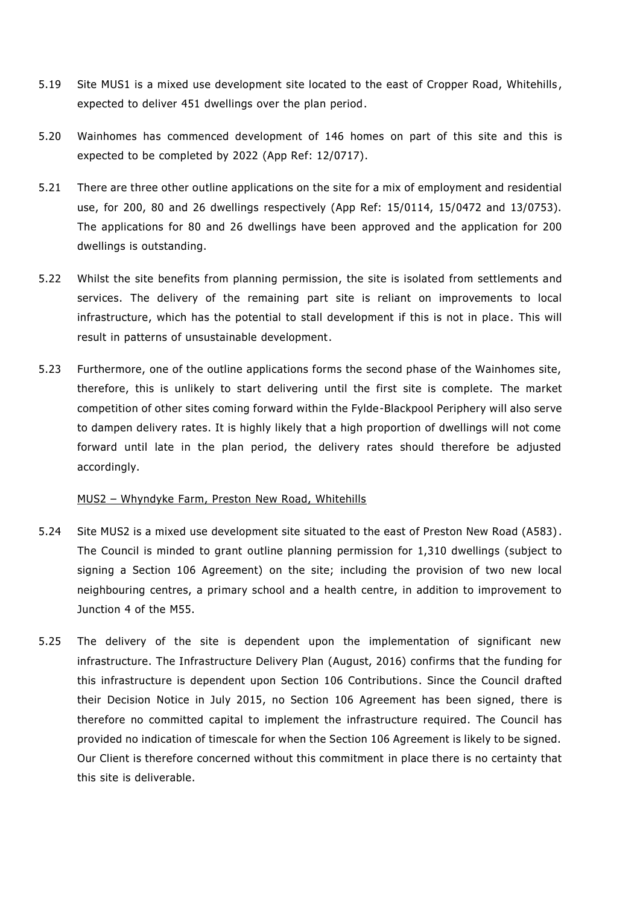- 5.19 Site MUS1 is a mixed use development site located to the east of Cropper Road, Whitehills , expected to deliver 451 dwellings over the plan period.
- 5.20 Wainhomes has commenced development of 146 homes on part of this site and this is expected to be completed by 2022 (App Ref: 12/0717).
- 5.21 There are three other outline applications on the site for a mix of employment and residential use, for 200, 80 and 26 dwellings respectively (App Ref: 15/0114, 15/0472 and 13/0753). The applications for 80 and 26 dwellings have been approved and the application for 200 dwellings is outstanding.
- 5.22 Whilst the site benefits from planning permission, the site is isolated from settlements and services. The delivery of the remaining part site is reliant on improvements to local infrastructure, which has the potential to stall development if this is not in place. This will result in patterns of unsustainable development.
- 5.23 Furthermore, one of the outline applications forms the second phase of the Wainhomes site, therefore, this is unlikely to start delivering until the first site is complete. The market competition of other sites coming forward within the Fylde-Blackpool Periphery will also serve to dampen delivery rates. It is highly likely that a high proportion of dwellings will not come forward until late in the plan period, the delivery rates should therefore be adjusted accordingly.

#### MUS2 – Whyndyke Farm, Preston New Road, Whitehills

- 5.24 Site MUS2 is a mixed use development site situated to the east of Preston New Road (A583). The Council is minded to grant outline planning permission for 1,310 dwellings (subject to signing a Section 106 Agreement) on the site; including the provision of two new local neighbouring centres, a primary school and a health centre, in addition to improvement to Junction 4 of the M55.
- 5.25 The delivery of the site is dependent upon the implementation of significant new infrastructure. The Infrastructure Delivery Plan (August, 2016) confirms that the funding for this infrastructure is dependent upon Section 106 Contributions. Since the Council drafted their Decision Notice in July 2015, no Section 106 Agreement has been signed, there is therefore no committed capital to implement the infrastructure required. The Council has provided no indication of timescale for when the Section 106 Agreement is likely to be signed. Our Client is therefore concerned without this commitment in place there is no certainty that this site is deliverable.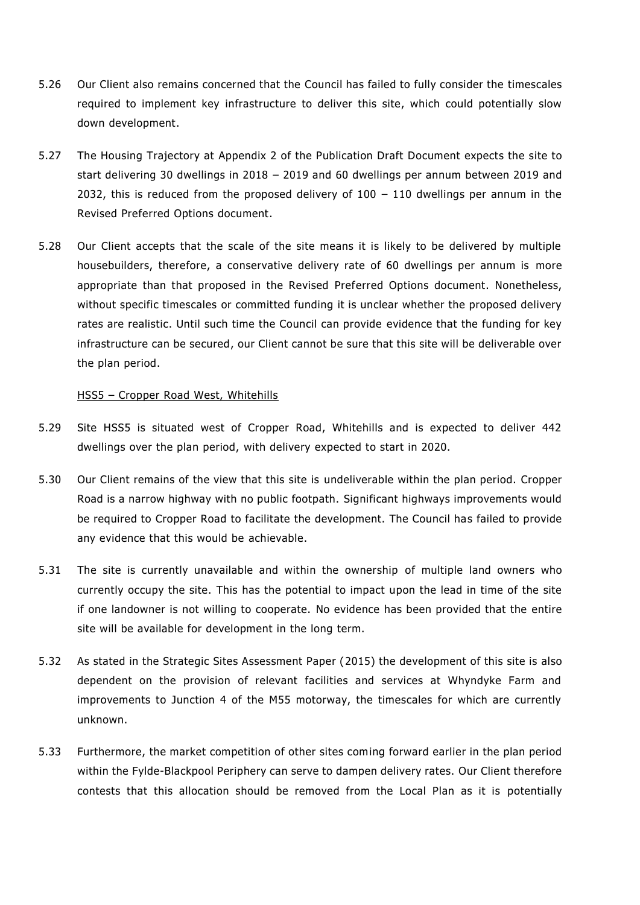- 5.26 Our Client also remains concerned that the Council has failed to fully consider the timescales required to implement key infrastructure to deliver this site, which could potentially slow down development.
- 5.27 The Housing Trajectory at Appendix 2 of the Publication Draft Document expects the site to start delivering 30 dwellings in 2018 – 2019 and 60 dwellings per annum between 2019 and 2032, this is reduced from the proposed delivery of  $100 - 110$  dwellings per annum in the Revised Preferred Options document.
- 5.28 Our Client accepts that the scale of the site means it is likely to be delivered by multiple housebuilders, therefore, a conservative delivery rate of 60 dwellings per annum is more appropriate than that proposed in the Revised Preferred Options document. Nonetheless, without specific timescales or committed funding it is unclear whether the proposed delivery rates are realistic. Until such time the Council can provide evidence that the funding for key infrastructure can be secured, our Client cannot be sure that this site will be deliverable over the plan period.

#### HSS5 – Cropper Road West, Whitehills

- 5.29 Site HSS5 is situated west of Cropper Road, Whitehills and is expected to deliver 442 dwellings over the plan period, with delivery expected to start in 2020.
- 5.30 Our Client remains of the view that this site is undeliverable within the plan period. Cropper Road is a narrow highway with no public footpath. Significant highways improvements would be required to Cropper Road to facilitate the development. The Council has failed to provide any evidence that this would be achievable.
- 5.31 The site is currently unavailable and within the ownership of multiple land owners who currently occupy the site. This has the potential to impact upon the lead in time of the site if one landowner is not willing to cooperate. No evidence has been provided that the entire site will be available for development in the long term.
- 5.32 As stated in the Strategic Sites Assessment Paper (2015) the development of this site is also dependent on the provision of relevant facilities and services at Whyndyke Farm and improvements to Junction 4 of the M55 motorway, the timescales for which are currently unknown.
- 5.33 Furthermore, the market competition of other sites coming forward earlier in the plan period within the Fylde-Blackpool Periphery can serve to dampen delivery rates. Our Client therefore contests that this allocation should be removed from the Local Plan as it is potentially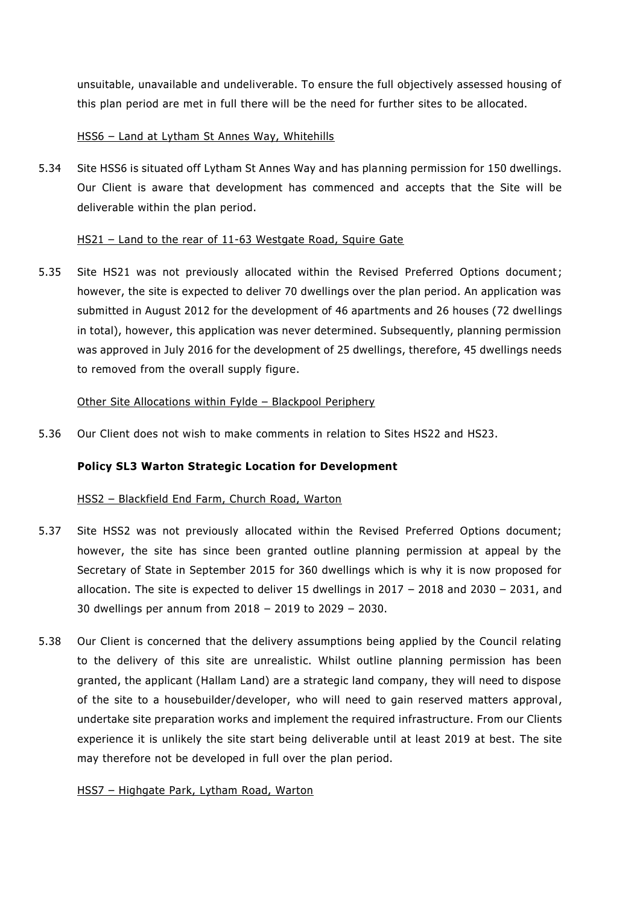unsuitable, unavailable and undeliverable. To ensure the full objectively assessed housing of this plan period are met in full there will be the need for further sites to be allocated.

# HSS6 – Land at Lytham St Annes Way, Whitehills

5.34 Site HSS6 is situated off Lytham St Annes Way and has planning permission for 150 dwellings. Our Client is aware that development has commenced and accepts that the Site will be deliverable within the plan period.

#### HS21 – Land to the rear of 11-63 Westgate Road, Squire Gate

5.35 Site HS21 was not previously allocated within the Revised Preferred Options document; however, the site is expected to deliver 70 dwellings over the plan period. An application was submitted in August 2012 for the development of 46 apartments and 26 houses (72 dwellings in total), however, this application was never determined. Subsequently, planning permission was approved in July 2016 for the development of 25 dwellings, therefore, 45 dwellings needs to removed from the overall supply figure.

#### Other Site Allocations within Fylde – Blackpool Periphery

5.36 Our Client does not wish to make comments in relation to Sites HS22 and HS23.

# **Policy SL3 Warton Strategic Location for Development**

#### HSS2 – Blackfield End Farm, Church Road, Warton

- 5.37 Site HSS2 was not previously allocated within the Revised Preferred Options document; however, the site has since been granted outline planning permission at appeal by the Secretary of State in September 2015 for 360 dwellings which is why it is now proposed for allocation. The site is expected to deliver 15 dwellings in 2017 – 2018 and 2030 – 2031, and 30 dwellings per annum from 2018 – 2019 to 2029 – 2030.
- 5.38 Our Client is concerned that the delivery assumptions being applied by the Council relating to the delivery of this site are unrealistic. Whilst outline planning permission has been granted, the applicant (Hallam Land) are a strategic land company, they will need to dispose of the site to a housebuilder/developer, who will need to gain reserved matters approval, undertake site preparation works and implement the required infrastructure. From our Clients experience it is unlikely the site start being deliverable until at least 2019 at best. The site may therefore not be developed in full over the plan period.

#### HSS7 – Highgate Park, Lytham Road, Warton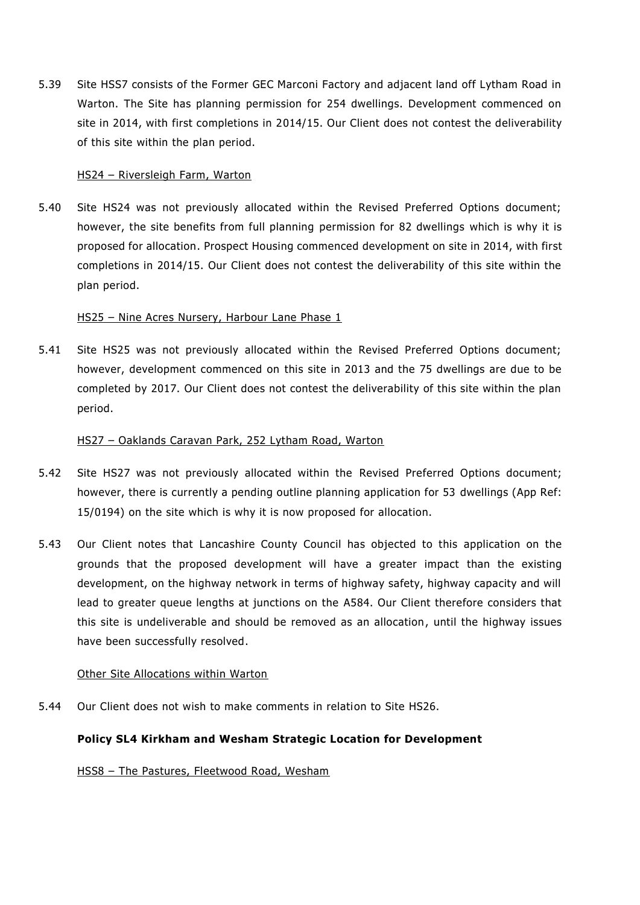5.39 Site HSS7 consists of the Former GEC Marconi Factory and adjacent land off Lytham Road in Warton. The Site has planning permission for 254 dwellings. Development commenced on site in 2014, with first completions in 2014/15. Our Client does not contest the deliverability of this site within the plan period.

#### HS24 – Riversleigh Farm, Warton

5.40 Site HS24 was not previously allocated within the Revised Preferred Options document; however, the site benefits from full planning permission for 82 dwellings which is why it is proposed for allocation. Prospect Housing commenced development on site in 2014, with first completions in 2014/15. Our Client does not contest the deliverability of this site within the plan period.

#### HS25 – Nine Acres Nursery, Harbour Lane Phase 1

5.41 Site HS25 was not previously allocated within the Revised Preferred Options document; however, development commenced on this site in 2013 and the 75 dwellings are due to be completed by 2017. Our Client does not contest the deliverability of this site within the plan period.

#### HS27 – Oaklands Caravan Park, 252 Lytham Road, Warton

- 5.42 Site HS27 was not previously allocated within the Revised Preferred Options document; however, there is currently a pending outline planning application for 53 dwellings (App Ref: 15/0194) on the site which is why it is now proposed for allocation.
- 5.43 Our Client notes that Lancashire County Council has objected to this application on the grounds that the proposed development will have a greater impact than the existing development, on the highway network in terms of highway safety, highway capacity and will lead to greater queue lengths at junctions on the A584. Our Client therefore considers that this site is undeliverable and should be removed as an allocation, until the highway issues have been successfully resolved.

#### Other Site Allocations within Warton

5.44 Our Client does not wish to make comments in relation to Site HS26.

# **Policy SL4 Kirkham and Wesham Strategic Location for Development**

HSS8 – The Pastures, Fleetwood Road, Wesham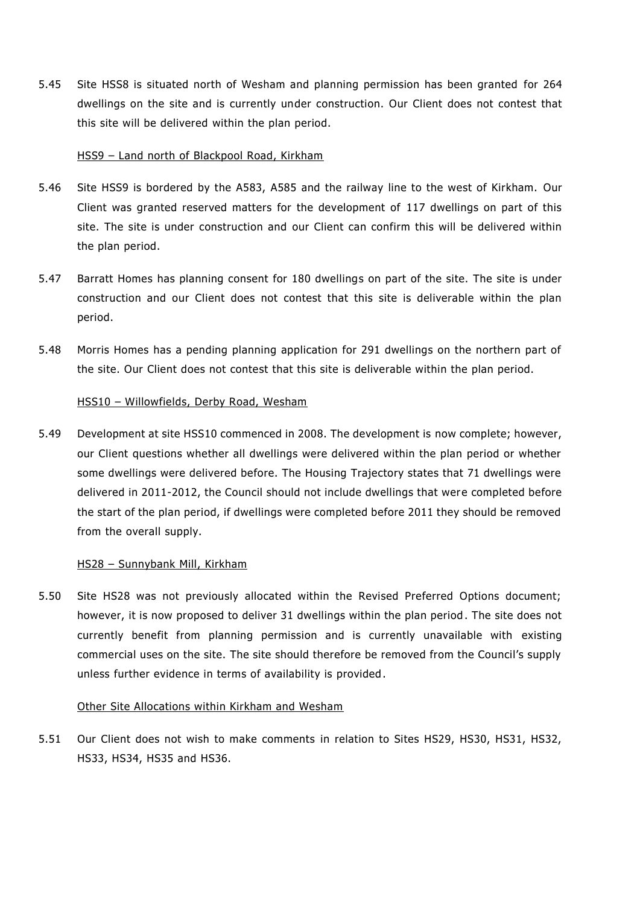5.45 Site HSS8 is situated north of Wesham and planning permission has been granted for 264 dwellings on the site and is currently under construction. Our Client does not contest that this site will be delivered within the plan period.

#### HSS9 – Land north of Blackpool Road, Kirkham

- 5.46 Site HSS9 is bordered by the A583, A585 and the railway line to the west of Kirkham. Our Client was granted reserved matters for the development of 117 dwellings on part of this site. The site is under construction and our Client can confirm this will be delivered within the plan period.
- 5.47 Barratt Homes has planning consent for 180 dwellings on part of the site. The site is under construction and our Client does not contest that this site is deliverable within the plan period.
- 5.48 Morris Homes has a pending planning application for 291 dwellings on the northern part of the site. Our Client does not contest that this site is deliverable within the plan period.

#### HSS10 – Willowfields, Derby Road, Wesham

5.49 Development at site HSS10 commenced in 2008. The development is now complete; however, our Client questions whether all dwellings were delivered within the plan period or whether some dwellings were delivered before. The Housing Trajectory states that 71 dwellings were delivered in 2011-2012, the Council should not include dwellings that were completed before the start of the plan period, if dwellings were completed before 2011 they should be removed from the overall supply.

#### HS28 – Sunnybank Mill, Kirkham

5.50 Site HS28 was not previously allocated within the Revised Preferred Options document; however, it is now proposed to deliver 31 dwellings within the plan period . The site does not currently benefit from planning permission and is currently unavailable with existing commercial uses on the site. The site should therefore be removed from the Council's supply unless further evidence in terms of availability is provided.

#### Other Site Allocations within Kirkham and Wesham

5.51 Our Client does not wish to make comments in relation to Sites HS29, HS30, HS31, HS32, HS33, HS34, HS35 and HS36.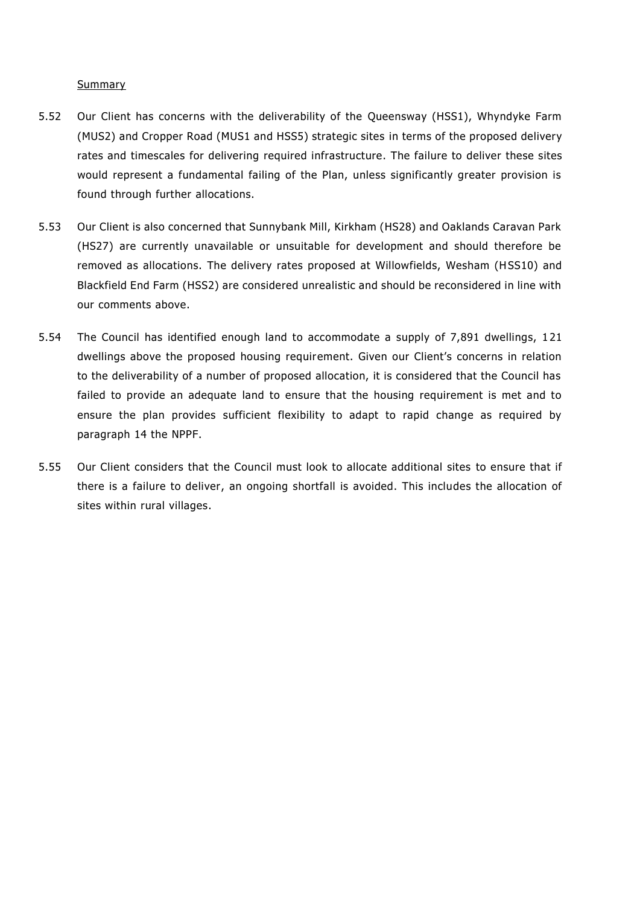#### Summary

- 5.52 Our Client has concerns with the deliverability of the Queensway (HSS1), Whyndyke Farm (MUS2) and Cropper Road (MUS1 and HSS5) strategic sites in terms of the proposed delivery rates and timescales for delivering required infrastructure. The failure to deliver these sites would represent a fundamental failing of the Plan, unless significantly greater provision is found through further allocations.
- 5.53 Our Client is also concerned that Sunnybank Mill, Kirkham (HS28) and Oaklands Caravan Park (HS27) are currently unavailable or unsuitable for development and should therefore be removed as allocations. The delivery rates proposed at Willowfields, Wesham (HSS10) and Blackfield End Farm (HSS2) are considered unrealistic and should be reconsidered in line with our comments above.
- 5.54 The Council has identified enough land to accommodate a supply of 7,891 dwellings, 1 21 dwellings above the proposed housing requirement. Given our Client's concerns in relation to the deliverability of a number of proposed allocation, it is considered that the Council has failed to provide an adequate land to ensure that the housing requirement is met and to ensure the plan provides sufficient flexibility to adapt to rapid change as required by paragraph 14 the NPPF.
- 5.55 Our Client considers that the Council must look to allocate additional sites to ensure that if there is a failure to deliver, an ongoing shortfall is avoided. This includes the allocation of sites within rural villages.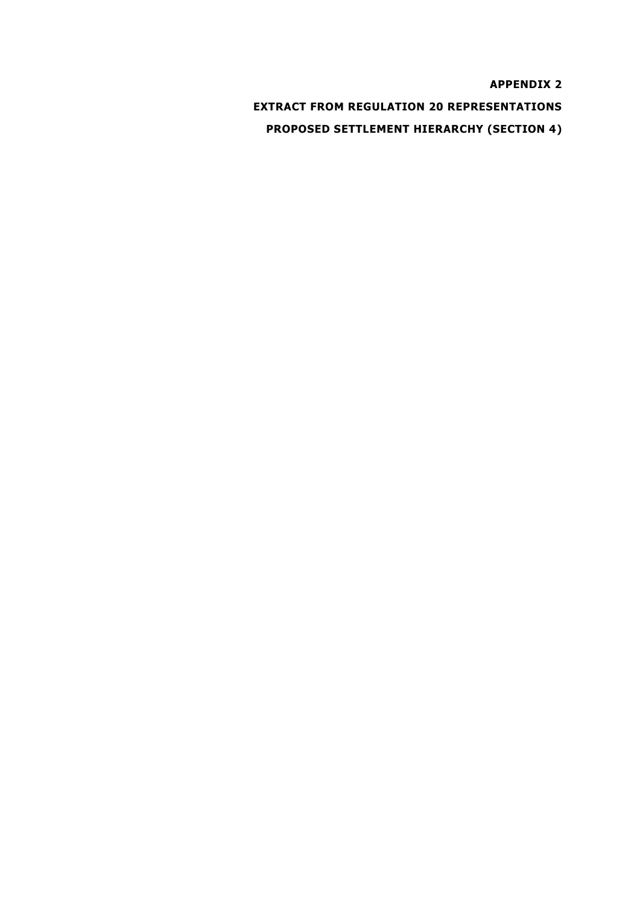**APPENDIX 2 EXTRACT FROM REGULATION 20 REPRESENTATIONS PROPOSED SETTLEMENT HIERARCHY (SECTION 4)**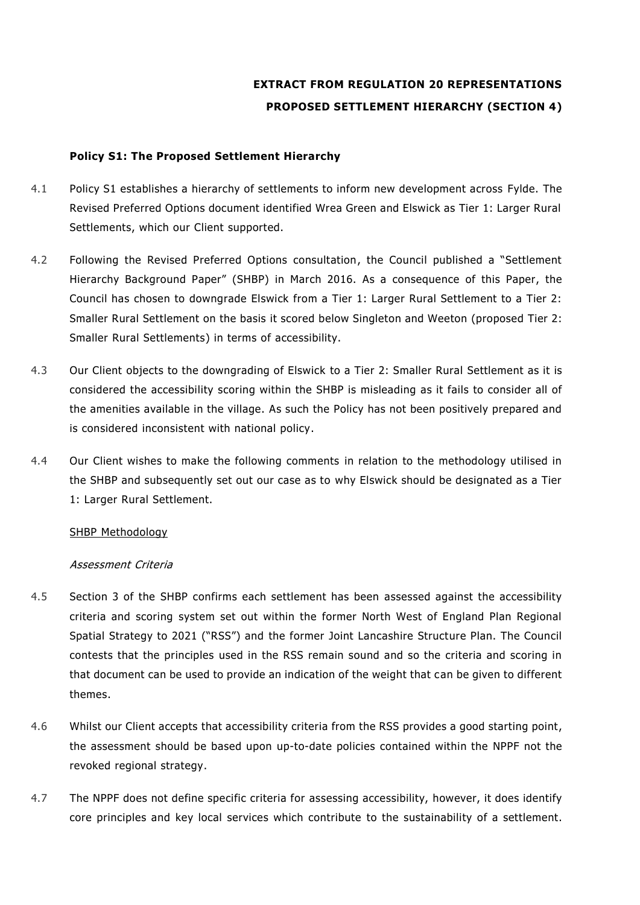# **EXTRACT FROM REGULATION 20 REPRESENTATIONS PROPOSED SETTLEMENT HIERARCHY (SECTION 4)**

# **Policy S1: The Proposed Settlement Hierarchy**

- 4.1 Policy S1 establishes a hierarchy of settlements to inform new development across Fylde. The Revised Preferred Options document identified Wrea Green and Elswick as Tier 1: Larger Rural Settlements, which our Client supported.
- 4.2 Following the Revised Preferred Options consultation, the Council published a "Settlement Hierarchy Background Paper" (SHBP) in March 2016. As a consequence of this Paper, the Council has chosen to downgrade Elswick from a Tier 1: Larger Rural Settlement to a Tier 2: Smaller Rural Settlement on the basis it scored below Singleton and Weeton (proposed Tier 2: Smaller Rural Settlements) in terms of accessibility.
- 4.3 Our Client objects to the downgrading of Elswick to a Tier 2: Smaller Rural Settlement as it is considered the accessibility scoring within the SHBP is misleading as it fails to consider all of the amenities available in the village. As such the Policy has not been positively prepared and is considered inconsistent with national policy.
- 4.4 Our Client wishes to make the following comments in relation to the methodology utilised in the SHBP and subsequently set out our case as to why Elswick should be designated as a Tier 1: Larger Rural Settlement.

#### SHBP Methodology

# Assessment Criteria

- 4.5 Section 3 of the SHBP confirms each settlement has been assessed against the accessibility criteria and scoring system set out within the former North West of England Plan Regional Spatial Strategy to 2021 ("RSS") and the former Joint Lancashire Structure Plan. The Council contests that the principles used in the RSS remain sound and so the criteria and scoring in that document can be used to provide an indication of the weight that can be given to different themes.
- 4.6 Whilst our Client accepts that accessibility criteria from the RSS provides a good starting point, the assessment should be based upon up-to-date policies contained within the NPPF not the revoked regional strategy.
- 4.7 The NPPF does not define specific criteria for assessing accessibility, however, it does identify core principles and key local services which contribute to the sustainability of a settlement.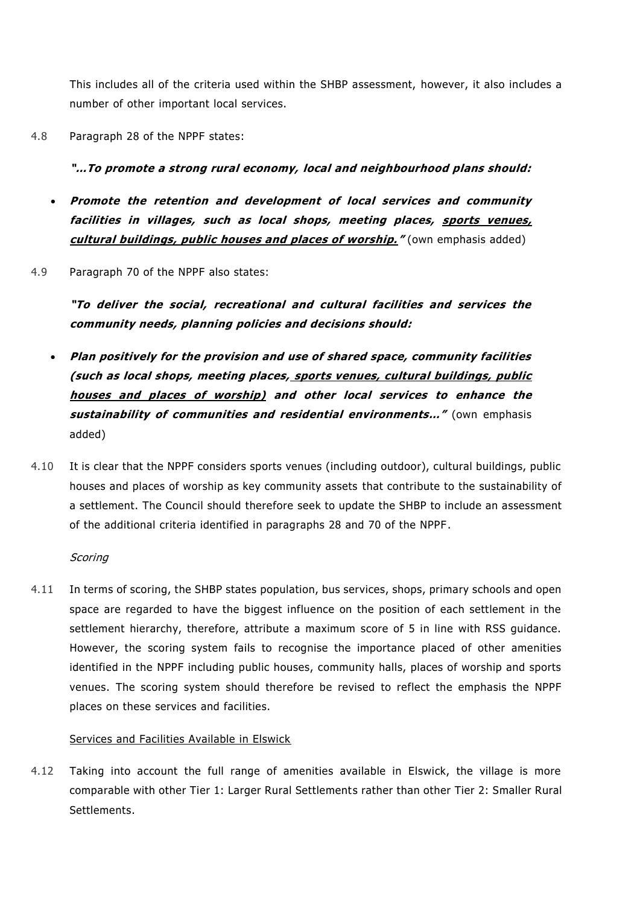This includes all of the criteria used within the SHBP assessment, however, it also includes a number of other important local services.

4.8 Paragraph 28 of the NPPF states:

# **"…To promote a strong rural economy, local and neighbourhood plans should:**

- **Promote the retention and development of local services and community facilities in villages, such as local shops, meeting places, sports venues, cultural buildings, public houses and places of worship."** (own emphasis added)
- 4.9 Paragraph 70 of the NPPF also states:

**"To deliver the social, recreational and cultural facilities and services the community needs, planning policies and decisions should:**

- **Plan positively for the provision and use of shared space, community facilities (such as local shops, meeting places, sports venues, cultural buildings, public houses and places of worship) and other local services to enhance the sustainability of communities and residential environments…"** (own emphasis added)
- 4.10 It is clear that the NPPF considers sports venues (including outdoor), cultural buildings, public houses and places of worship as key community assets that contribute to the sustainability of a settlement. The Council should therefore seek to update the SHBP to include an assessment of the additional criteria identified in paragraphs 28 and 70 of the NPPF .

# **Scoring**

4.11 In terms of scoring, the SHBP states population, bus services, shops, primary schools and open space are regarded to have the biggest influence on the position of each settlement in the settlement hierarchy, therefore, attribute a maximum score of 5 in line with RSS guidance. However, the scoring system fails to recognise the importance placed of other amenities identified in the NPPF including public houses, community halls, places of worship and sports venues. The scoring system should therefore be revised to reflect the emphasis the NPPF places on these services and facilities.

# Services and Facilities Available in Elswick

4.12 Taking into account the full range of amenities available in Elswick, the village is more comparable with other Tier 1: Larger Rural Settlements rather than other Tier 2: Smaller Rural Settlements.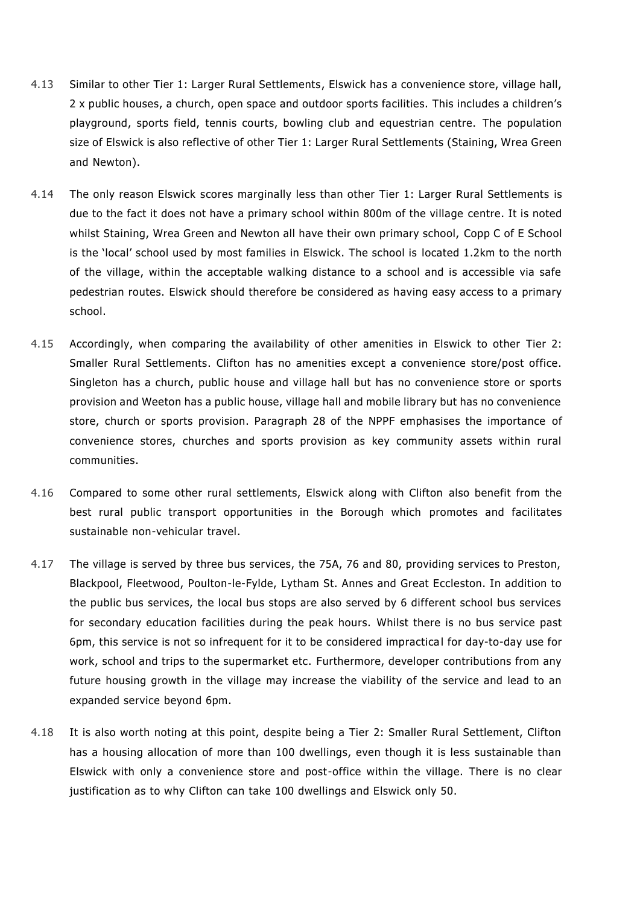- 4.13 Similar to other Tier 1: Larger Rural Settlements, Elswick has a convenience store, village hall, 2 x public houses, a church, open space and outdoor sports facilities. This includes a children's playground, sports field, tennis courts, bowling club and equestrian centre. The population size of Elswick is also reflective of other Tier 1: Larger Rural Settlements (Staining, Wrea Green and Newton).
- 4.14 The only reason Elswick scores marginally less than other Tier 1: Larger Rural Settlements is due to the fact it does not have a primary school within 800m of the village centre. It is noted whilst Staining, Wrea Green and Newton all have their own primary school, Copp C of E School is the 'local' school used by most families in Elswick. The school is located 1.2km to the north of the village, within the acceptable walking distance to a school and is accessible via safe pedestrian routes. Elswick should therefore be considered as having easy access to a primary school.
- 4.15 Accordingly, when comparing the availability of other amenities in Elswick to other Tier 2: Smaller Rural Settlements. Clifton has no amenities except a convenience store/post office. Singleton has a church, public house and village hall but has no convenience store or sports provision and Weeton has a public house, village hall and mobile library but has no convenience store, church or sports provision. Paragraph 28 of the NPPF emphasises the importance of convenience stores, churches and sports provision as key community assets within rural communities.
- 4.16 Compared to some other rural settlements, Elswick along with Clifton also benefit from the best rural public transport opportunities in the Borough which promotes and facilitates sustainable non-vehicular travel.
- 4.17 The village is served by three bus services, the 75A, 76 and 80, providing services to Preston, Blackpool, Fleetwood, Poulton-le-Fylde, Lytham St. Annes and Great Eccleston. In addition to the public bus services, the local bus stops are also served by 6 different school bus services for secondary education facilities during the peak hours. Whilst there is no bus service past 6pm, this service is not so infrequent for it to be considered impractica l for day-to-day use for work, school and trips to the supermarket etc. Furthermore, developer contributions from any future housing growth in the village may increase the viability of the service and lead to an expanded service beyond 6pm.
- 4.18 It is also worth noting at this point, despite being a Tier 2: Smaller Rural Settlement, Clifton has a housing allocation of more than 100 dwellings, even though it is less sustainable than Elswick with only a convenience store and post-office within the village. There is no clear justification as to why Clifton can take 100 dwellings and Elswick only 50.